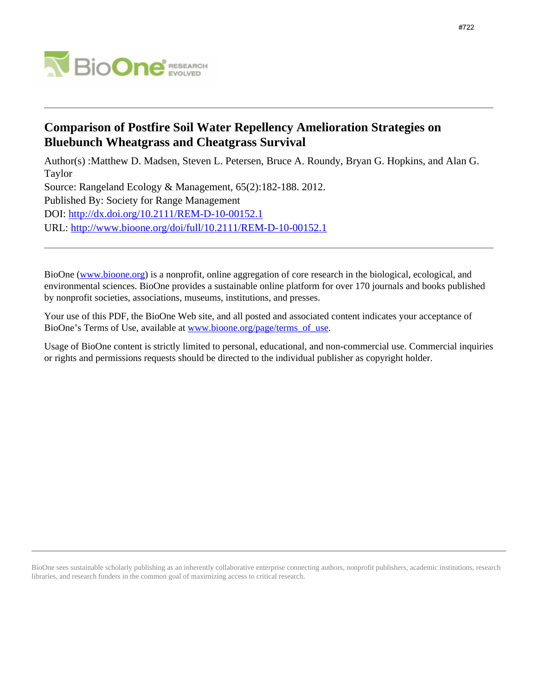

# **Comparison of Postfire Soil Water Repellency Amelioration Strategies on Bluebunch Wheatgrass and Cheatgrass Survival**

Author(s) :Matthew D. Madsen, Steven L. Petersen, Bruce A. Roundy, Bryan G. Hopkins, and Alan G. Taylor Source: Rangeland Ecology & Management, 65(2):182-188. 2012. Published By: Society for Range Management DOI:<http://dx.doi.org/10.2111/REM-D-10-00152.1> URL: <http://www.bioone.org/doi/full/10.2111/REM-D-10-00152.1>

BioOne [\(www.bioone.org\)](http://www.bioone.org) is a nonprofit, online aggregation of core research in the biological, ecological, and environmental sciences. BioOne provides a sustainable online platform for over 170 journals and books published by nonprofit societies, associations, museums, institutions, and presses.

Your use of this PDF, the BioOne Web site, and all posted and associated content indicates your acceptance of BioOne's Terms of Use, available at [www.bioone.org/page/terms\\_of\\_use.](http://www.bioone.org/page/terms_of_use)

Usage of BioOne content is strictly limited to personal, educational, and non-commercial use. Commercial inquiries or rights and permissions requests should be directed to the individual publisher as copyright holder.

BioOne sees sustainable scholarly publishing as an inherently collaborative enterprise connecting authors, nonprofit publishers, academic institutions, research libraries, and research funders in the common goal of maximizing access to critical research.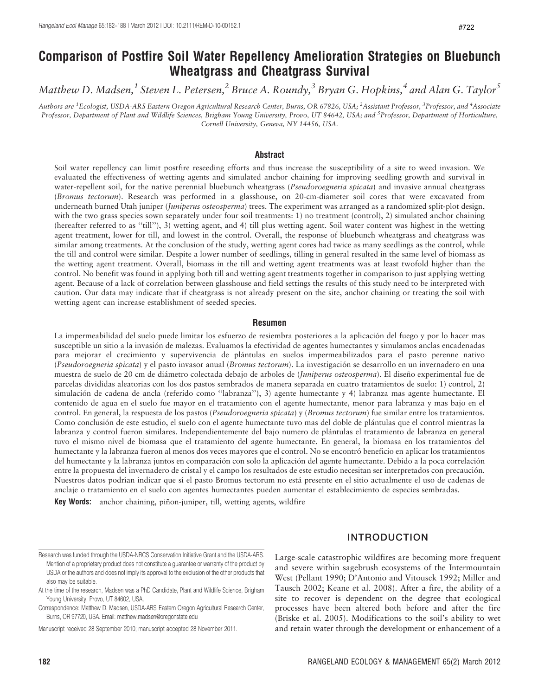# Comparison of Postfire Soil Water Repellency Amelioration Strategies on Bluebunch Wheatgrass and Cheatgrass Survival

Matthew D. Madsen,<sup>1</sup> Steven L. Petersen,<sup>2</sup> Bruce A. Roundy,<sup>3</sup> Bryan G. Hopkins,<sup>4</sup> and Alan G. Taylor<sup>5</sup>

Authors are <sup>1</sup>Ecologist, USDA-ARS Eastern Oregon Agricultural Research Center, Burns, OR 67826, USA; <sup>2</sup>Assistant Professor, <sup>3</sup>Professor, and <sup>4</sup>Associate Professor, Department of Plant and Wildlife Sciences, Brigham Young University, Provo, UT 84642, USA; and <sup>5</sup>Professor, Department of Horticulture, Cornell University, Geneva, NY 14456, USA.

#### Abstract

Soil water repellency can limit postfire reseeding efforts and thus increase the susceptibility of a site to weed invasion. We evaluated the effectiveness of wetting agents and simulated anchor chaining for improving seedling growth and survival in water-repellent soil, for the native perennial bluebunch wheatgrass (Pseudoroegneria spicata) and invasive annual cheatgrass (Bromus tectorum). Research was performed in a glasshouse, on 20-cm-diameter soil cores that were excavated from underneath burned Utah juniper (*Juniperus osteosperma*) trees. The experiment was arranged as a randomized split-plot design, with the two grass species sown separately under four soil treatments: 1) no treatment (control), 2) simulated anchor chaining (hereafter referred to as ''till''), 3) wetting agent, and 4) till plus wetting agent. Soil water content was highest in the wetting agent treatment, lower for till, and lowest in the control. Overall, the response of bluebunch wheatgrass and cheatgrass was similar among treatments. At the conclusion of the study, wetting agent cores had twice as many seedlings as the control, while the till and control were similar. Despite a lower number of seedlings, tilling in general resulted in the same level of biomass as the wetting agent treatment. Overall, biomass in the till and wetting agent treatments was at least twofold higher than the control. No benefit was found in applying both till and wetting agent treatments together in comparison to just applying wetting agent. Because of a lack of correlation between glasshouse and field settings the results of this study need to be interpreted with caution. Our data may indicate that if cheatgrass is not already present on the site, anchor chaining or treating the soil with wetting agent can increase establishment of seeded species.

#### Resumen

La impermeabilidad del suelo puede limitar los esfuerzo de resiembra posteriores a la aplicación del fuego y por lo hacer mas susceptible un sitio a la invasión de malezas. Evaluamos la efectividad de agentes humectantes y simulamos anclas encadenadas para mejorar el crecimiento y supervivencia de pla´ntulas en suelos impermeabilizados para el pasto perenne nativo (Pseudoroegneria spicata) y el pasto invasor anual (Bromus tectorum). La investigación se desarrollo en un invernadero en una muestra de suelo de 20 cm de diámetro colectada debajo de arboles de (Juniperus osteosperma). El diseño experimental fue de parcelas divididas aleatorias con los dos pastos sembrados de manera separada en cuatro tratamientos de suelo: 1) control, 2) simulación de cadena de ancla (referido como "labranza"), 3) agente humectante y 4) labranza mas agente humectante. El contenido de agua en el suelo fue mayor en el tratamiento con el agente humectante, menor para labranza y mas bajo en el control. En general, la respuesta de los pastos (*Pseudoroegneria spicata*) y (*Bromus tectorum*) fue similar entre los tratamientos. Como conclusión de este estudio, el suelo con el agente humectante tuvo mas del doble de plántulas que el control mientras la labranza y control fueron similares. Independientemente del bajo numero de plántulas el tratamiento de labranza en general tuvo el mismo nivel de biomasa que el tratamiento del agente humectante. En general, la biomasa en los tratamientos del humectante y la labranza fueron al menos dos veces mayores que el control. No se encontró beneficio en aplicar los tratamientos del humectante y la labranza juntos en comparación con solo la aplicación del agente humectante. Debido a la poca correlación entre la propuesta del invernadero de cristal y el campo los resultados de este estudio necesitan ser interpretados con precaución. Nuestros datos podrían indicar que sí el pasto Bromus tectorum no está presente en el sitio actualmente el uso de cadenas de anclaje o tratamiento en el suelo con agentes humectantes pueden aumentar el establecimiento de especies sembradas.

Key Words: anchor chaining, piñon-juniper, till, wetting agents, wildfire

## INTRODUCTION

Manuscript received 28 September 2010; manuscript accepted 28 November 2011.

Large-scale catastrophic wildfires are becoming more frequent and severe within sagebrush ecosystems of the Intermountain West (Pellant 1990; D'Antonio and Vitousek 1992; Miller and Tausch 2002; Keane et al. 2008). After a fire, the ability of a site to recover is dependent on the degree that ecological processes have been altered both before and after the fire (Briske et al. 2005). Modifications to the soil's ability to wet and retain water through the development or enhancement of a

Research was funded through the USDA-NRCS Conservation Initiative Grant and the USDA-ARS. Mention of a proprietary product does not constitute a guarantee or warranty of the product by USDA or the authors and does not imply its approval to the exclusion of the other products that also may be suitable.

At the time of the research, Madsen was a PhD Candidate, Plant and Wildlife Science, Brigham Young University, Provo, UT 84602, USA.

Correspondence: Matthew D. Madsen, USDA-ARS Eastern Oregon Agricultural Research Center, Burns, OR 97720, USA. Email: matthew.madsen@oregonstate.edu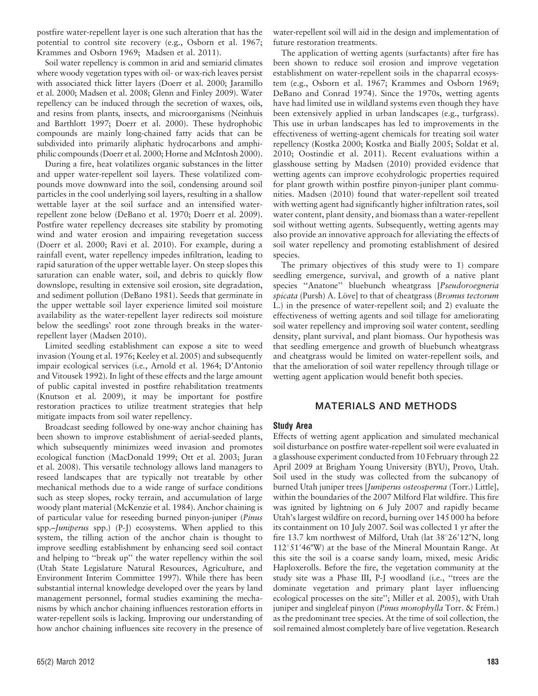postfire water-repellent layer is one such alteration that has the potential to control site recovery (e.g., Osborn et al. 1967; Krammes and Osborn 1969; Madsen et al. 2011).

Soil water repellency is common in arid and semiarid climates where woody vegetation types with oil- or wax-rich leaves persist with associated thick litter layers (Doerr et al. 2000; Jaramillo et al. 2000; Madsen et al. 2008; Glenn and Finley 2009). Water repellency can be induced through the secretion of waxes, oils, and resins from plants, insects, and microorganisms (Neinhuis and Barthlott 1997; Doerr et al. 2000). These hydrophobic compounds are mainly long-chained fatty acids that can be subdivided into primarily aliphatic hydrocarbons and amphiphilic compounds (Doerr et al. 2000; Horne and McIntosh 2000).

During a fire, heat volatilizes organic substances in the litter and upper water-repellent soil layers. These volatilized compounds move downward into the soil, condensing around soil particles in the cool underlying soil layers, resulting in a shallow wettable layer at the soil surface and an intensified waterrepellent zone below (DeBano et al. 1970; Doerr et al. 2009). Postfire water repellency decreases site stability by promoting wind and water erosion and impairing revegetation success (Doerr et al. 2000; Ravi et al. 2010). For example, during a rainfall event, water repellency impedes infiltration, leading to rapid saturation of the upper wettable layer. On steep slopes this saturation can enable water, soil, and debris to quickly flow downslope, resulting in extensive soil erosion, site degradation, and sediment pollution (DeBano 1981). Seeds that germinate in the upper wettable soil layer experience limited soil moisture availability as the water-repellent layer redirects soil moisture below the seedlings' root zone through breaks in the waterrepellent layer (Madsen 2010).

Limited seedling establishment can expose a site to weed invasion (Young et al. 1976; Keeley et al. 2005) and subsequently impair ecological services (i.e., Arnold et al. 1964; D'Antonio and Vitousek 1992). In light of these effects and the large amount of public capital invested in postfire rehabilitation treatments (Knutson et al. 2009), it may be important for postfire restoration practices to utilize treatment strategies that help mitigate impacts from soil water repellency.

Broadcast seeding followed by one-way anchor chaining has been shown to improve establishment of aerial-seeded plants, which subsequently minimizes weed invasion and promotes ecological function (MacDonald 1999; Ott et al. 2003; Juran et al. 2008). This versatile technology allows land managers to reseed landscapes that are typically not treatable by other mechanical methods due to a wide range of surface conditions such as steep slopes, rocky terrain, and accumulation of large woody plant material (McKenzie et al. 1984). Anchor chaining is of particular value for reseeding burned pinyon-juniper (Pinus spp.–*Juniperus* spp.) (P-J) ecosystems. When applied to this system, the tilling action of the anchor chain is thought to improve seedling establishment by enhancing seed soil contact and helping to ''break up'' the water repellency within the soil (Utah State Legislature Natural Resources, Agriculture, and Environment Interim Committee 1997). While there has been substantial internal knowledge developed over the years by land management personnel, formal studies examining the mechanisms by which anchor chaining influences restoration efforts in water-repellent soils is lacking. Improving our understanding of how anchor chaining influences site recovery in the presence of water-repellent soil will aid in the design and implementation of future restoration treatments.

The application of wetting agents (surfactants) after fire has been shown to reduce soil erosion and improve vegetation establishment on water-repellent soils in the chaparral ecosystem (e.g., Osborn et al. 1967; Krammes and Osborn 1969; DeBano and Conrad 1974). Since the 1970s, wetting agents have had limited use in wildland systems even though they have been extensively applied in urban landscapes (e.g., turfgrass). This use in urban landscapes has led to improvements in the effectiveness of wetting-agent chemicals for treating soil water repellency (Kostka 2000; Kostka and Bially 2005; Soldat et al. 2010; Oostindie et al. 2011). Recent evaluations within a glasshouse setting by Madsen (2010) provided evidence that wetting agents can improve ecohydrologic properties required for plant growth within postfire pinyon-juniper plant communities. Madsen (2010) found that water-repellent soil treated with wetting agent had significantly higher infiltration rates, soil water content, plant density, and biomass than a water-repellent soil without wetting agents. Subsequently, wetting agents may also provide an innovative approach for alleviating the effects of soil water repellency and promoting establishment of desired species.

The primary objectives of this study were to 1) compare seedling emergence, survival, and growth of a native plant species "Anatone" bluebunch wheatgrass [Pseudoroegneria spicata (Pursh) A. Löve] to that of cheatgrass (Bromus tectorum L.) in the presence of water-repellent soil; and 2) evaluate the effectiveness of wetting agents and soil tillage for ameliorating soil water repellency and improving soil water content, seedling density, plant survival, and plant biomass. Our hypothesis was that seedling emergence and growth of bluebunch wheatgrass and cheatgrass would be limited on water-repellent soils, and that the amelioration of soil water repellency through tillage or wetting agent application would benefit both species.

# MATERIALS AND METHODS

## Study Area

Effects of wetting agent application and simulated mechanical soil disturbance on postfire water-repellent soil were evaluated in a glasshouse experiment conducted from 10 February through 22 April 2009 at Brigham Young University (BYU), Provo, Utah. Soil used in the study was collected from the subcanopy of burned Utah juniper trees [Juniperus osteosperma (Torr.) Little], within the boundaries of the 2007 Milford Flat wildfire. This fire was ignited by lightning on 6 July 2007 and rapidly became Utah's largest wildfire on record, burning over 145 000 ha before its containment on 10 July 2007. Soil was collected 1 yr after the fire 13.7 km northwest of Milford, Utah (lat  $38^{\circ}26'12''N$ , long  $112^{\circ}51'46''W$ ) at the base of the Mineral Mountain Range. At this site the soil is a coarse sandy loam, mixed, mesic Aridic Haploxerolls. Before the fire, the vegetation community at the study site was a Phase III, P-J woodland (i.e., ''trees are the dominate vegetation and primary plant layer influencing ecological processes on the site''; Miller et al. 2005), with Utah juniper and singleleaf pinyon (Pinus monophylla Torr. & Frém.) as the predominant tree species. At the time of soil collection, the soil remained almost completely bare of live vegetation. Research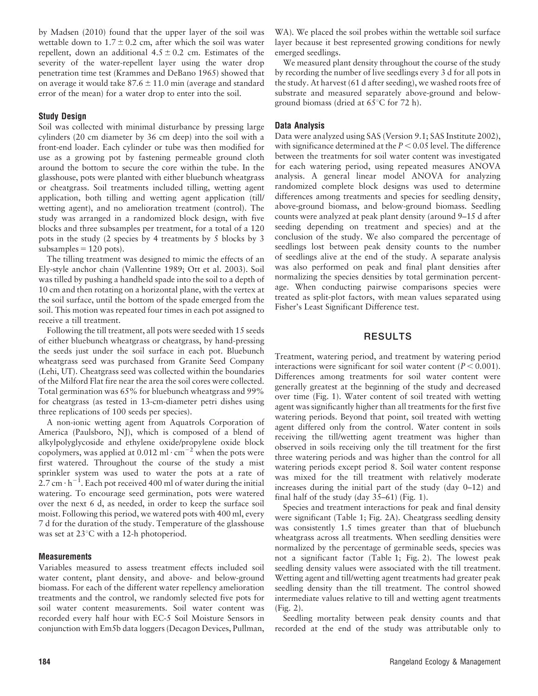by Madsen (2010) found that the upper layer of the soil was wettable down to  $1.7 \pm 0.2$  cm, after which the soil was water repellent, down an additional  $4.5 \pm 0.2$  cm. Estimates of the severity of the water-repellent layer using the water drop penetration time test (Krammes and DeBano 1965) showed that on average it would take  $87.6 \pm 11.0$  min (average and standard error of the mean) for a water drop to enter into the soil.

#### Study Design

Soil was collected with minimal disturbance by pressing large cylinders (20 cm diameter by 36 cm deep) into the soil with a front-end loader. Each cylinder or tube was then modified for use as a growing pot by fastening permeable ground cloth around the bottom to secure the core within the tube. In the glasshouse, pots were planted with either bluebunch wheatgrass or cheatgrass. Soil treatments included tilling, wetting agent application, both tilling and wetting agent application (till/ wetting agent), and no amelioration treatment (control). The study was arranged in a randomized block design, with five blocks and three subsamples per treatment, for a total of a 120 pots in the study (2 species by 4 treatments by 5 blocks by 3 subsamples  $= 120$  pots).

The tilling treatment was designed to mimic the effects of an Ely-style anchor chain (Vallentine 1989; Ott et al. 2003). Soil was tilled by pushing a handheld spade into the soil to a depth of 10 cm and then rotating on a horizontal plane, with the vertex at the soil surface, until the bottom of the spade emerged from the soil. This motion was repeated four times in each pot assigned to receive a till treatment.

Following the till treatment, all pots were seeded with 15 seeds of either bluebunch wheatgrass or cheatgrass, by hand-pressing the seeds just under the soil surface in each pot. Bluebunch wheatgrass seed was purchased from Granite Seed Company (Lehi, UT). Cheatgrass seed was collected within the boundaries of the Milford Flat fire near the area the soil cores were collected. Total germination was 65% for bluebunch wheatgrass and 99% for cheatgrass (as tested in 13-cm-diameter petri dishes using three replications of 100 seeds per species).

A non-ionic wetting agent from Aquatrols Corporation of America (Paulsboro, NJ), which is composed of a blend of alkylpolyglycoside and ethylene oxide/propylene oxide block copolymers, was applied at  $0.012$  ml $\cdot$  cm<sup>-2</sup> when the pots were first watered. Throughout the course of the study a mist sprinkler system was used to water the pots at a rate of  $2.7$  cm $\cdot$  h<sup>-1</sup>. Each pot received 400 ml of water during the initial watering. To encourage seed germination, pots were watered over the next 6 d, as needed, in order to keep the surface soil moist. Following this period, we watered pots with 400 ml, every 7 d for the duration of the study. Temperature of the glasshouse was set at  $23^{\circ}$ C with a 12-h photoperiod.

#### **Measurements**

Variables measured to assess treatment effects included soil water content, plant density, and above- and below-ground biomass. For each of the different water repellency amelioration treatments and the control, we randomly selected five pots for soil water content measurements. Soil water content was recorded every half hour with EC-5 Soil Moisture Sensors in conjunction with Em5b data loggers (Decagon Devices, Pullman, WA). We placed the soil probes within the wettable soil surface layer because it best represented growing conditions for newly emerged seedlings.

We measured plant density throughout the course of the study by recording the number of live seedlings every 3 d for all pots in the study. At harvest (61 d after seeding), we washed roots free of substrate and measured separately above-ground and belowground biomass (dried at  $65^{\circ}$ C for 72 h).

#### Data Analysis

Data were analyzed using SAS (Version 9.1; SAS Institute 2002), with significance determined at the  $P < 0.05$  level. The difference between the treatments for soil water content was investigated for each watering period, using repeated measures ANOVA analysis. A general linear model ANOVA for analyzing randomized complete block designs was used to determine differences among treatments and species for seedling density, above-ground biomass, and below-ground biomass. Seedling counts were analyzed at peak plant density (around 9–15 d after seeding depending on treatment and species) and at the conclusion of the study. We also compared the percentage of seedlings lost between peak density counts to the number of seedlings alive at the end of the study. A separate analysis was also performed on peak and final plant densities after normalizing the species densities by total germination percentage. When conducting pairwise comparisons species were treated as split-plot factors, with mean values separated using Fisher's Least Significant Difference test.

#### RESULTS

Treatment, watering period, and treatment by watering period interactions were significant for soil water content ( $P < 0.001$ ). Differences among treatments for soil water content were generally greatest at the beginning of the study and decreased over time (Fig. 1). Water content of soil treated with wetting agent was significantly higher than all treatments for the first five watering periods. Beyond that point, soil treated with wetting agent differed only from the control. Water content in soils receiving the till/wetting agent treatment was higher than observed in soils receiving only the till treatment for the first three watering periods and was higher than the control for all watering periods except period 8. Soil water content response was mixed for the till treatment with relatively moderate increases during the initial part of the study (day 0–12) and final half of the study (day 35–61) (Fig. 1).

Species and treatment interactions for peak and final density were significant (Table 1; Fig. 2A). Cheatgrass seedling density was consistently 1.5 times greater than that of bluebunch wheatgrass across all treatments. When seedling densities were normalized by the percentage of germinable seeds, species was not a significant factor (Table 1; Fig. 2). The lowest peak seedling density values were associated with the till treatment. Wetting agent and till/wetting agent treatments had greater peak seedling density than the till treatment. The control showed intermediate values relative to till and wetting agent treatments (Fig. 2).

Seedling mortality between peak density counts and that recorded at the end of the study was attributable only to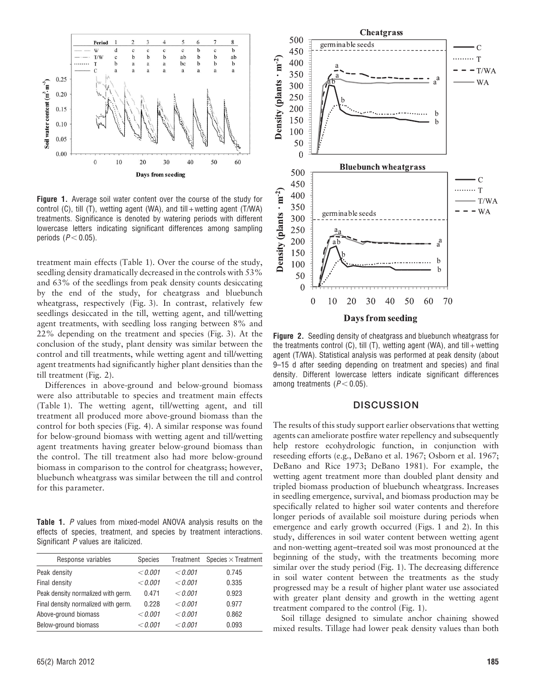

Figure 1. Average soil water content over the course of the study for control (C), till (T), wetting agent (WA), and till + wetting agent (T/WA) treatments. Significance is denoted by watering periods with different lowercase letters indicating significant differences among sampling periods  $(P < 0.05)$ .

treatment main effects (Table 1). Over the course of the study, seedling density dramatically decreased in the controls with 53% and 63% of the seedlings from peak density counts desiccating by the end of the study, for cheatgrass and bluebunch wheatgrass, respectively (Fig. 3). In contrast, relatively few seedlings desiccated in the till, wetting agent, and till/wetting agent treatments, with seedling loss ranging between 8% and 22% depending on the treatment and species (Fig. 3). At the conclusion of the study, plant density was similar between the control and till treatments, while wetting agent and till/wetting agent treatments had significantly higher plant densities than the till treatment (Fig. 2).

Differences in above-ground and below-ground biomass were also attributable to species and treatment main effects (Table 1). The wetting agent, till/wetting agent, and till treatment all produced more above-ground biomass than the control for both species (Fig. 4). A similar response was found for below-ground biomass with wetting agent and till/wetting agent treatments having greater below-ground biomass than the control. The till treatment also had more below-ground biomass in comparison to the control for cheatgrass; however, bluebunch wheatgrass was similar between the till and control for this parameter.

Table 1. P values from mixed-model ANOVA analysis results on the effects of species, treatment, and species by treatment interactions. Significant P values are italicized.

| Response variables                  | <b>Species</b> | Treatment | Species $\times$ Treatment |
|-------------------------------------|----------------|-----------|----------------------------|
| Peak density                        | < 0.001        | < 0.001   | 0.745                      |
| Final density                       | < 0.001        | < 0.001   | 0.335                      |
| Peak density normalized with germ.  | 0.471          | < 0.001   | 0.923                      |
| Final density normalized with germ. | 0.228          | < 0.001   | 0.977                      |
| Above-ground biomass                | < 0.001        | < 0.001   | 0.862                      |
| Below-ground biomass                | < 0.001        | < 0.001   | 0.093                      |



Figure 2. Seedling density of cheatgrass and bluebunch wheatgrass for the treatments control  $(C)$ , till  $(T)$ , wetting agent  $(WA)$ , and till + wetting agent (T/WA). Statistical analysis was performed at peak density (about 9–15 d after seeding depending on treatment and species) and final density. Different lowercase letters indicate significant differences

## **DISCUSSION**

among treatments ( $P < 0.05$ ).

The results of this study support earlier observations that wetting agents can ameliorate postfire water repellency and subsequently help restore ecohydrologic function, in conjunction with reseeding efforts (e.g., DeBano et al. 1967; Osborn et al. 1967; DeBano and Rice 1973; DeBano 1981). For example, the wetting agent treatment more than doubled plant density and tripled biomass production of bluebunch wheatgrass. Increases in seedling emergence, survival, and biomass production may be specifically related to higher soil water contents and therefore longer periods of available soil moisture during periods when emergence and early growth occurred (Figs. 1 and 2). In this study, differences in soil water content between wetting agent and non-wetting agent–treated soil was most pronounced at the beginning of the study, with the treatments becoming more similar over the study period (Fig. 1). The decreasing difference in soil water content between the treatments as the study progressed may be a result of higher plant water use associated with greater plant density and growth in the wetting agent treatment compared to the control (Fig. 1).

Soil tillage designed to simulate anchor chaining showed mixed results. Tillage had lower peak density values than both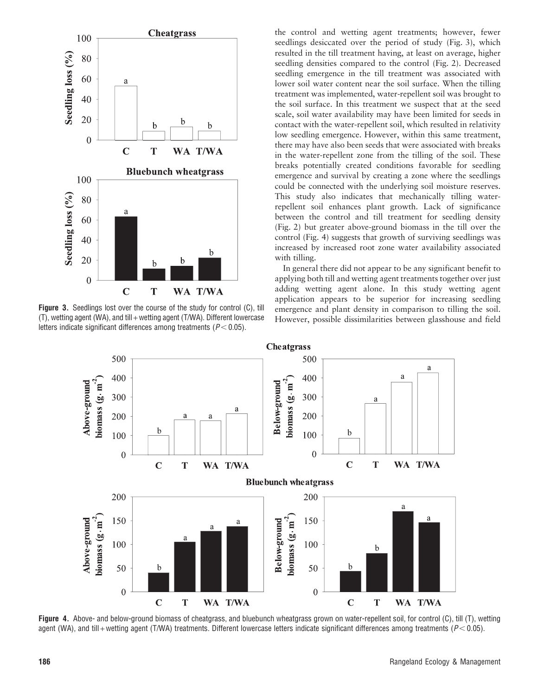

Figure 3. Seedlings lost over the course of the study for control (C), till (T), wetting agent (WA), and till +wetting agent (T/WA). Different lowercase letters indicate significant differences among treatments ( $P < 0.05$ ).

the control and wetting agent treatments; however, fewer seedlings desiccated over the period of study (Fig. 3), which resulted in the till treatment having, at least on average, higher seedling densities compared to the control (Fig. 2). Decreased seedling emergence in the till treatment was associated with lower soil water content near the soil surface. When the tilling treatment was implemented, water-repellent soil was brought to the soil surface. In this treatment we suspect that at the seed scale, soil water availability may have been limited for seeds in contact with the water-repellent soil, which resulted in relativity low seedling emergence. However, within this same treatment, there may have also been seeds that were associated with breaks in the water-repellent zone from the tilling of the soil. These breaks potentially created conditions favorable for seedling emergence and survival by creating a zone where the seedlings could be connected with the underlying soil moisture reserves. This study also indicates that mechanically tilling waterrepellent soil enhances plant growth. Lack of significance between the control and till treatment for seedling density (Fig. 2) but greater above-ground biomass in the till over the control (Fig. 4) suggests that growth of surviving seedlings was increased by increased root zone water availability associated with tilling.

In general there did not appear to be any significant benefit to applying both till and wetting agent treatments together over just adding wetting agent alone. In this study wetting agent application appears to be superior for increasing seedling emergence and plant density in comparison to tilling the soil. However, possible dissimilarities between glasshouse and field



Figure 4. Above- and below-ground biomass of cheatgrass, and bluebunch wheatgrass grown on water-repellent soil, for control (C), till (T), wetting agent (WA), and till + wetting agent (T/WA) treatments. Different lowercase letters indicate significant differences among treatments ( $P < 0.05$ ).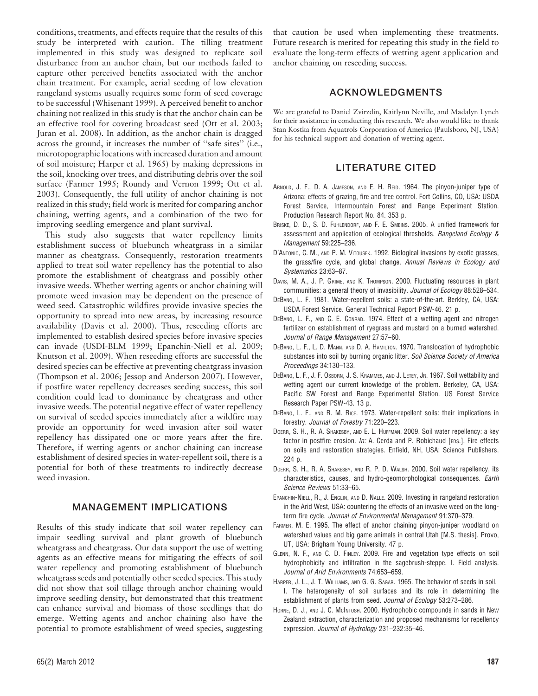conditions, treatments, and effects require that the results of this study be interpreted with caution. The tilling treatment implemented in this study was designed to replicate soil disturbance from an anchor chain, but our methods failed to capture other perceived benefits associated with the anchor chain treatment. For example, aerial seeding of low elevation rangeland systems usually requires some form of seed coverage to be successful (Whisenant 1999). A perceived benefit to anchor chaining not realized in this study is that the anchor chain can be an effective tool for covering broadcast seed (Ott et al. 2003; Juran et al. 2008). In addition, as the anchor chain is dragged across the ground, it increases the number of ''safe sites'' (i.e., microtopographic locations with increased duration and amount of soil moisture; Harper et al. 1965) by making depressions in the soil, knocking over trees, and distributing debris over the soil surface (Farmer 1995; Roundy and Vernon 1999; Ott et al. 2003). Consequently, the full utility of anchor chaining is not realized in this study; field work is merited for comparing anchor chaining, wetting agents, and a combination of the two for improving seedling emergence and plant survival.

This study also suggests that water repellency limits establishment success of bluebunch wheatgrass in a similar manner as cheatgrass. Consequently, restoration treatments applied to treat soil water repellency has the potential to also promote the establishment of cheatgrass and possibly other invasive weeds. Whether wetting agents or anchor chaining will promote weed invasion may be dependent on the presence of weed seed. Catastrophic wildfires provide invasive species the opportunity to spread into new areas, by increasing resource availability (Davis et al. 2000). Thus, reseeding efforts are implemented to establish desired species before invasive species can invade (USDI-BLM 1999; Epanchin-Niell et al. 2009; Knutson et al. 2009). When reseeding efforts are successful the desired species can be effective at preventing cheatgrass invasion (Thompson et al. 2006; Jessop and Anderson 2007). However, if postfire water repellency decreases seeding success, this soil condition could lead to dominance by cheatgrass and other invasive weeds. The potential negative effect of water repellency on survival of seeded species immediately after a wildfire may provide an opportunity for weed invasion after soil water repellency has dissipated one or more years after the fire. Therefore, if wetting agents or anchor chaining can increase establishment of desired species in water-repellent soil, there is a potential for both of these treatments to indirectly decrease weed invasion.

# MANAGEMENT IMPLICATIONS

Results of this study indicate that soil water repellency can impair seedling survival and plant growth of bluebunch wheatgrass and cheatgrass. Our data support the use of wetting agents as an effective means for mitigating the effects of soil water repellency and promoting establishment of bluebunch wheatgrass seeds and potentially other seeded species. This study did not show that soil tillage through anchor chaining would improve seedling density, but demonstrated that this treatment can enhance survival and biomass of those seedlings that do emerge. Wetting agents and anchor chaining also have the potential to promote establishment of weed species, suggesting that caution be used when implementing these treatments. Future research is merited for repeating this study in the field to evaluate the long-term effects of wetting agent application and anchor chaining on reseeding success.

#### ACKNOWLEDGMENTS

We are grateful to Daniel Zvirzdin, Kaitlynn Neville, and Madalyn Lynch for their assistance in conducting this research. We also would like to thank Stan Kostka from Aquatrols Corporation of America (Paulsboro, NJ, USA) for his technical support and donation of wetting agent.

## LITERATURE CITED

- ARNOLD, J. F., D. A. JAMESON, AND E. H. REID. 1964. The pinyon-juniper type of Arizona: effects of grazing, fire and tree control. Fort Collins, CO, USA: USDA Forest Service, Intermountain Forest and Range Experiment Station. Production Research Report No. 84. 353 p.
- BRISKE, D. D., S. D. FUHLENDORF, AND F. E. SMEINS. 2005. A unified framework for assessment and application of ecological thresholds. Rangeland Ecology & Management 59:225–236.
- D'ANTONIO, C. M., AND P. M. VITOUSEK. 1992. Biological invasions by exotic grasses, the grass/fire cycle, and global change. Annual Reviews in Ecology and Systematics 23:63–87.
- DAVIS, M. A., J. P. GRIME, AND K. THOMPSON. 2000. Fluctuating resources in plant communities: a general theory of invasibility. Journal of Ecology 88:528-534.
- DEBANO, L. F. 1981. Water-repellent soils: a state-of-the-art. Berkley, CA, USA: USDA Forest Service. General Technical Report PSW-46. 21 p.
- DEBANO, L. F., AND C. E. CONRAD. 1974. Effect of a wetting agent and nitrogen fertilizer on establishment of ryegrass and mustard on a burned watershed. Journal of Range Management 27:57–60.
- DEBANO, L. F., L. D. MANN, AND D. A. HAMILTON. 1970. Translocation of hydrophobic substances into soil by burning organic litter. Soil Science Society of America Proceedings 34:130–133.
- DEBANO, L. F., J. F. OSBORN, J. S. KRAMMES, AND J. LETEY, JR. 1967. Soil wettability and wetting agent our current knowledge of the problem. Berkeley, CA, USA: Pacific SW Forest and Range Experimental Station. US Forest Service Research Paper PSW-43. 13 p.
- DEBANO, L. F., AND R. M. RICE. 1973. Water-repellent soils: their implications in forestry. Journal of Forestry 71:220–223.
- DOERR, S. H., R. A. SHAKESBY, AND E. L. HUFFMAN. 2009. Soil water repellency: a key factor in postfire erosion. In: A. Cerda and P. Robichaud [EDS.]. Fire effects on soils and restoration strategies. Enfield, NH, USA: Science Publishers. 224 p.
- DOERR, S. H., R. A. SHAKESBY, AND R. P. D. WALSH. 2000. Soil water repellency, its characteristics, causes, and hydro-geomorphological consequences. Earth Science Reviews 51:33–65.
- EPANCHIN-NIELL, R., J. ENGLIN, AND D. NALLE. 2009. Investing in rangeland restoration in the Arid West, USA: countering the effects of an invasive weed on the longterm fire cycle. Journal of Environmental Management 91:370–379.
- FARMER, M. E. 1995. The effect of anchor chaining pinyon-juniper woodland on watershed values and big game animals in central Utah [M.S. thesis]. Provo, UT, USA: Brigham Young University. 47 p.
- GLENN, N. F., AND C. D. FINLEY. 2009. Fire and vegetation type effects on soil hydrophobicity and infiltration in the sagebrush-steppe. I. Field analysis. Journal of Arid Environments 74:653–659.
- HARPER, J. L., J. T. WILLIAMS, AND G. G. SAGAR. 1965. The behavior of seeds in soil. I. The heterogeneity of soil surfaces and its role in determining the establishment of plants from seed. Journal of Ecology 53:273–286.
- HORNE, D. J., AND J. C. MCINTOSH. 2000. Hydrophobic compounds in sands in New Zealand: extraction, characterization and proposed mechanisms for repellency expression. Journal of Hydrology 231–232:35–46.